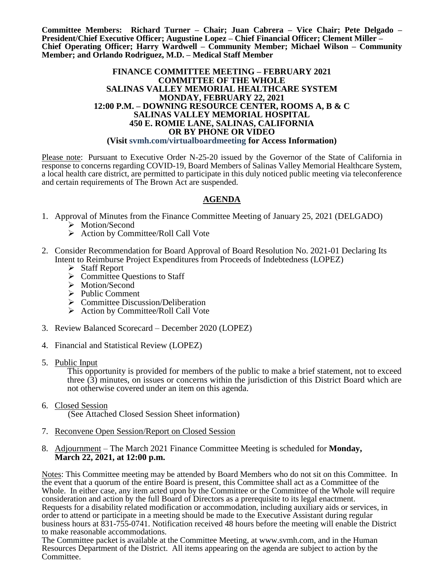**Committee Members: Richard Turner – Chair; Juan Cabrera – Vice Chair; Pete Delgado – President/Chief Executive Officer; Augustine Lopez – Chief Financial Officer; Clement Miller – Chief Operating Officer; Harry Wardwell – Community Member; Michael Wilson – Community Member; and Orlando Rodriguez, M.D. – Medical Staff Member**

#### **FINANCE COMMITTEE MEETING – FEBRUARY 2021 COMMITTEE OF THE WHOLE SALINAS VALLEY MEMORIAL HEALTHCARE SYSTEM MONDAY, FEBRUARY 22, 2021 12:00 P.M. – DOWNING RESOURCE CENTER, ROOMS A, B & C SALINAS VALLEY MEMORIAL HOSPITAL 450 E. ROMIE LANE, SALINAS, CALIFORNIA OR BY PHONE OR VIDEO (Visit svmh.com/virtualboardmeeting for Access Information)**

Please note: Pursuant to Executive Order N-25-20 issued by the Governor of the State of California in response to concerns regarding COVID-19, Board Members of Salinas Valley Memorial Healthcare System, a local health care district, are permitted to participate in this duly noticed public meeting via teleconference and certain requirements of The Brown Act are suspended.

### **AGENDA**

- 1. Approval of Minutes from the Finance Committee Meeting of January 25, 2021 (DELGADO) > Motion/Second
	- $\triangleright$  Action by Committee/Roll Call Vote
- 2. Consider Recommendation for Board Approval of Board Resolution No. 2021-01 Declaring Its Intent to Reimburse Project Expenditures from Proceeds of Indebtedness (LOPEZ)
	- $\triangleright$  Staff Report
	- $\triangleright$  Committee Questions to Staff
	- > Motion/Second
	- $\triangleright$  Public Comment
	- $\triangleright$  Committee Discussion/Deliberation
	- ▶ Action by Committee/Roll Call Vote
- 3. Review Balanced Scorecard December 2020 (LOPEZ)
- 4. Financial and Statistical Review (LOPEZ)
- 5. Public Input

This opportunity is provided for members of the public to make a brief statement, not to exceed three (3) minutes, on issues or concerns within the jurisdiction of this District Board which are not otherwise covered under an item on this agenda.

- 6. Closed Session (See Attached Closed Session Sheet information)
- 7. Reconvene Open Session/Report on Closed Session
- 8. Adjournment The March 2021 Finance Committee Meeting is scheduled for **Monday, March 22, 2021, at 12:00 p.m.**

Notes: This Committee meeting may be attended by Board Members who do not sit on this Committee. In the event that a quorum of the entire Board is present, this Committee shall act as a Committee of the Whole. In either case, any item acted upon by the Committee or the Committee of the Whole will require consideration and action by the full Board of Directors as a prerequisite to its legal enactment. Requests for a disability related modification or accommodation, including auxiliary aids or services, in order to attend or participate in a meeting should be made to the Executive Assistant during regular business hours at 831-755-0741. Notification received 48 hours before the meeting will enable the District to make reasonable accommodations.

The Committee packet is available at the Committee Meeting, at www.svmh.com, and in the Human Resources Department of the District. All items appearing on the agenda are subject to action by the Committee.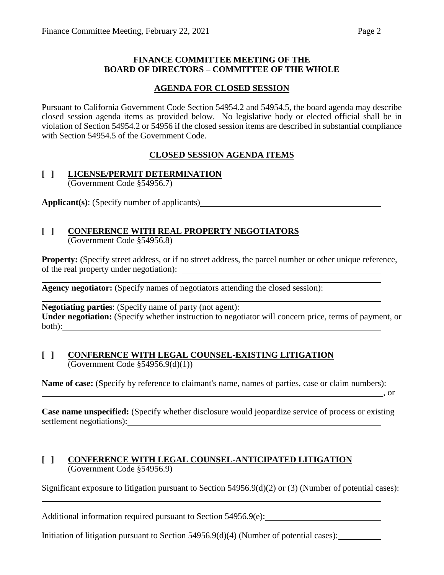### **FINANCE COMMITTEE MEETING OF THE BOARD OF DIRECTORS – COMMITTEE OF THE WHOLE**

### **AGENDA FOR CLOSED SESSION**

Pursuant to California Government Code Section 54954.2 and 54954.5, the board agenda may describe closed session agenda items as provided below. No legislative body or elected official shall be in violation of Section 54954.2 or 54956 if the closed session items are described in substantial compliance with Section 54954.5 of the Government Code.

## **CLOSED SESSION AGENDA ITEMS**

### **[ ] LICENSE/PERMIT DETERMINATION** (Government Code §54956.7)

**Applicant(s)**: (Specify number of applicants)

### **[ ] CONFERENCE WITH REAL PROPERTY NEGOTIATORS** (Government Code §54956.8)

**Property:** (Specify street address, or if no street address, the parcel number or other unique reference, of the real property under negotiation):

**Agency negotiator:** (Specify names of negotiators attending the closed session):

**Negotiating parties**: (Specify name of party (not agent): **Under negotiation:** (Specify whether instruction to negotiator will concern price, terms of payment, or both):

### **[ ] CONFERENCE WITH LEGAL COUNSEL-EXISTING LITIGATION** (Government Code §54956.9(d)(1))

**Name of case:** (Specify by reference to claimant's name, names of parties, case or claim numbers):

, or

**Case name unspecified:** (Specify whether disclosure would jeopardize service of process or existing settlement negotiations):<br>
<u>
and</u> **Example 2**<br> **Example 2**<br> **Example 2**<br> **Example 2**<br> **Example 2**<br> **EXAMPLE 2**<br> **EXAMPLE 2**<br> **EXAMPLE 2**<br> **EXAMPLE 2**<br> **EXAMPLE 2** 

### **[ ] CONFERENCE WITH LEGAL COUNSEL-ANTICIPATED LITIGATION** (Government Code §54956.9)

Significant exposure to litigation pursuant to Section 54956.9(d)(2) or (3) (Number of potential cases):

Additional information required pursuant to Section 54956.9(e):

Initiation of litigation pursuant to Section 54956.9(d)(4) (Number of potential cases):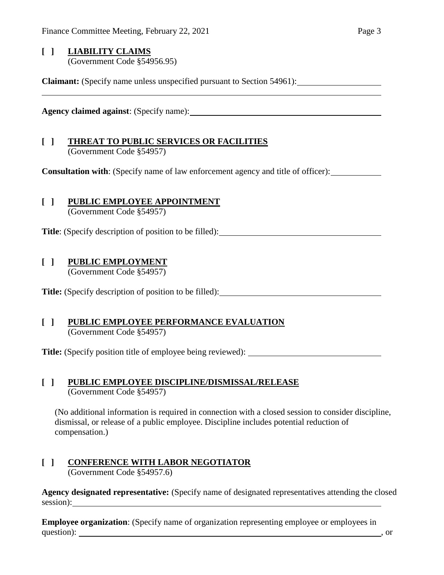### **[ ] LIABILITY CLAIMS** (Government Code §54956.95)

**Claimant:** (Specify name unless unspecified pursuant to Section 54961):

**Agency claimed against**: (Specify name):

# **[ ] THREAT TO PUBLIC SERVICES OR FACILITIES**

(Government Code §54957)

**Consultation with**: (Specify name of law enforcement agency and title of officer):

# **[ ] PUBLIC EMPLOYEE APPOINTMENT**

(Government Code §54957)

**Title**: (Specify description of position to be filled):

# **[ ] PUBLIC EMPLOYMENT**

(Government Code §54957)

**Title:** (Specify description of position to be filled):

### **[ ] PUBLIC EMPLOYEE PERFORMANCE EVALUATION** (Government Code §54957)

**Title:** (Specify position title of employee being reviewed):

### **[ ] PUBLIC EMPLOYEE DISCIPLINE/DISMISSAL/RELEASE** (Government Code §54957)

(No additional information is required in connection with a closed session to consider discipline, dismissal, or release of a public employee. Discipline includes potential reduction of compensation.)

### **[ ] CONFERENCE WITH LABOR NEGOTIATOR** (Government Code §54957.6)

**Agency designated representative:** (Specify name of designated representatives attending the closed session):

**Employee organization**: (Specify name of organization representing employee or employees in question): such a set of the contract of the contract of the contract of the contract of the contract of the contract of the contract of the contract of the contract of the contract of the contract of the contract of the c